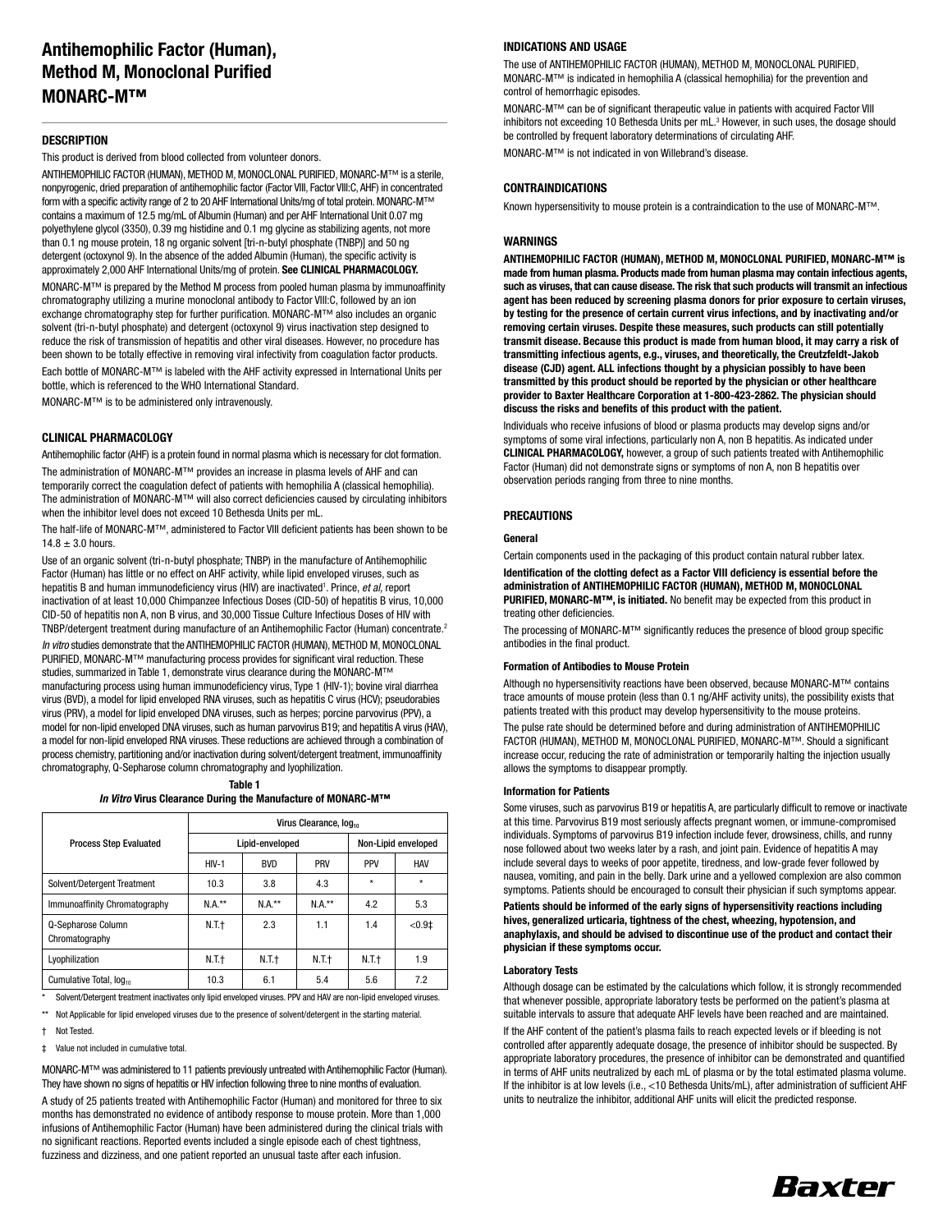### **DESCRIPTION**

This product is derived from blood collected from volunteer donors.

ANTIHEMOPHILIC FACTOR (HUMAN), METHOD M, MONOCLONAL PURIFIED, MONARC-M™ is a sterile, nonpyrogenic, dried preparation of antihemophilic factor (Factor VIII, Factor VIII:C, AHF) in concentrated form with a specific activity range of 2 to 20 AHF International Units/mg of total protein. MONARC-M™ contains a maximum of 12.5 mg/mL of Albumin (Human) and per AHF International Unit 0.07 mg polyethylene glycol (3350), 0.39 mg histidine and 0.1 mg glycine as stabilizing agents, not more than 0.1 ng mouse protein, 18 ng organic solvent [tri-n-butyl phosphate (TNBP)] and 50 ng detergent (octoxynol 9). In the absence of the added Albumin (Human), the specific activity is approximately 2,000 AHF International Units/mg of protein. **See CLINICAL PHARMACOLOGY.** MONARC-M™ is prepared by the Method M process from pooled human plasma by immunoaffinity chromatography utilizing a murine monoclonal antibody to Factor VIII:C, followed by an ion exchange chromatography step for further purification. MONARC-M™ also includes an organic solvent (tri-n-butyl phosphate) and detergent (octoxynol 9) virus inactivation step designed to reduce the risk of transmission of hepatitis and other viral diseases. However, no procedure has been shown to be totally effective in removing viral infectivity from coagulation factor products. Each bottle of MONARC-M™ is labeled with the AHF activity expressed in International Units per bottle, which is referenced to the WHO International Standard. MONARC-M™ is to be administered only intravenously.

### **CLINICAL PHARMACOLOGY**

Antihemophilic factor (AHF) is a protein found in normal plasma which is necessary for clot formation.

The administration of MONARC-M™ provides an increase in plasma levels of AHF and can temporarily correct the coagulation defect of patients with hemophilia A (classical hemophilia). The administration of MONARC-M™ will also correct deficiencies caused by circulating inhibitors when the inhibitor level does not exceed 10 Bethesda Units per mL.

The half-life of MONARC-M™, administered to Factor VIII deficient patients has been shown to be  $14.8 \pm 3.0$  hours.

Use of an organic solvent (tri-n-butyl phosphate; TNBP) in the manufacture of Antihemophilic Factor (Human) has little or no effect on AHF activity, while lipid enveloped viruses, such as hepatitis B and human immunodeficiency virus (HIV) are inactivated<sup>1</sup>. Prince, et al, report inactivation of at least 10,000 Chimpanzee Infectious Doses (CID-50) of hepatitis B virus, 10,000 CID-50 of hepatitis non A, non B virus, and 30,000 Tissue Culture Infectious Doses of HIV with TNBP/detergent treatment during manufacture of an Antihemophilic Factor (Human) concentrate.2

In vitro studies demonstrate that the ANTIHEMOPHILIC FACTOR (HUMAN), METHOD M, MONOCLONAL PURIFIED, MONARC-M™ manufacturing process provides for significant viral reduction. These studies, summarized in Table 1, demonstrate virus clearance during the MONARC-M™ manufacturing process using human immunodeficiency virus, Type 1 (HIV-1); bovine viral diarrhea virus (BVD), a model for lipid enveloped RNA viruses, such as hepatitis C virus (HCV); pseudorabies virus (PRV), a model for lipid enveloped DNA viruses, such as herpes; porcine parvovirus (PPV), a model for non-lipid enveloped DNA viruses, such as human parvovirus B19; and hepatitis A virus (HAV), a model for non-lipid enveloped RNA viruses. These reductions are achieved through a combination of process chemistry, partitioning and/or inactivation during solvent/detergent treatment, immunoaffinity chromatography, Q-Sepharose column chromatography and lyophilization.

#### **Table 1**

**In Vitro Virus Clearance During the Manufacture of MONARC-M™**

|                                      | Virus Clearance, log |            |         |                     |            |
|--------------------------------------|----------------------|------------|---------|---------------------|------------|
| <b>Process Step Evaluated</b>        | Lipid-enveloped      |            |         | Non-Lipid enveloped |            |
|                                      | $HIV-1$              | <b>BVD</b> | PRV     | PPV                 | <b>HAV</b> |
| Solvent/Detergent Treatment          | 10.3                 | 3.8        | 4.3     | $\star$             | $\star$    |
| Immunoaffinity Chromatography        | $N.A.**$             | $NA.**$    | $NA.**$ | 4.2                 | 5.3        |
| Q-Sepharose Column<br>Chromatography | N.T.†                | 2.3        | 1.1     | 1.4                 | $< 0.9$ ‡  |
| Lyophilization                       | N.T.†                | N.T.t      | N.T.t   | N.T.t               | 1.9        |
| Cumulative Total, log <sub>10</sub>  | 10.3                 | 6.1        | 5.4     | 5.6                 | 7.2        |

\* Solvent/Detergent treatment inactivates only lipid enveloped viruses. PPV and HAV are non-lipid enveloped viruses. \*\* Not Applicable for lipid enveloped viruses due to the presence of solvent/detergent in the starting material.

† Not Tested.

‡ Value not included in cumulative total.

MONARC-M™ was administered to 11 patients previously untreated with Antihemophilic Factor (Human). They have shown no signs of hepatitis or HIV infection following three to nine months of evaluation.

A study of 25 patients treated with Antihemophilic Factor (Human) and monitored for three to six months has demonstrated no evidence of antibody response to mouse protein. More than 1,000 infusions of Antihemophilic Factor (Human) have been administered during the clinical trials with no significant reactions. Reported events included a single episode each of chest tightness, fuzziness and dizziness, and one patient reported an unusual taste after each infusion.

#### **INDICATIONS AND USAGE**

The use of ANTIHEMOPHILIC FACTOR (HUMAN), METHOD M, MONOCLONAL PURIFIED, MONARC-M™ is indicated in hemophilia A (classical hemophilia) for the prevention and control of hemorrhagic episodes.

MONARC-M™ can be of significant therapeutic value in patients with acquired Factor VIII inhibitors not exceeding 10 Bethesda Units per mL.<sup>3</sup> However, in such uses, the dosage should be controlled by frequent laboratory determinations of circulating AHF.

MONARC-M™ is not indicated in von Willebrand's disease.

## **CONTRAINDICATIONS**

Known hypersensitivity to mouse protein is a contraindication to the use of MONARC-M™.

#### **WARNINGS**

**ANTIHEMOPHILIC FACTOR (HUMAN), METHOD M, MONOCLONAL PURIFIED, MONARC-M™ is made from human plasma. Products made from human plasma may contain infectious agents, such as viruses, that can cause disease. The risk that such products will transmit an infectious agent has been reduced by screening plasma donors for prior exposure to certain viruses, by testing for the presence of certain current virus infections, and by inactivating and/or removing certain viruses. Despite these measures, such products can still potentially transmit disease. Because this product is made from human blood, it may carry a risk of transmitting infectious agents, e.g., viruses, and theoretically, the Creutzfeldt-Jakob disease (CJD) agent. ALL infections thought by a physician possibly to have been transmitted by this product should be reported by the physician or other healthcare provider to Baxter Healthcare Corporation at 1-800-423-2862. The physician should discuss the risks and benefits of this product with the patient.**

Individuals who receive infusions of blood or plasma products may develop signs and/or symptoms of some viral infections, particularly non A, non B hepatitis. As indicated under **CLINICAL PHARMACOLOGY,** however, a group of such patients treated with Antihemophilic Factor (Human) did not demonstrate signs or symptoms of non A, non B hepatitis over observation periods ranging from three to nine months.

### **PRECAUTIONS**

### **General**

Certain components used in the packaging of this product contain natural rubber latex. **Identification of the clotting defect as a Factor VIII deficiency is essential before the administration of ANTIHEMOPHILIC FACTOR (HUMAN), METHOD M, MONOCLONAL PURIFIED, MONARC-M™, is initiated.** No benefit may be expected from this product in treating other deficiencies.

The processing of MONARC-M™ significantly reduces the presence of blood group specific antibodies in the final product.

#### **Formation of Antibodies to Mouse Protein**

Although no hypersensitivity reactions have been observed, because MONARC-M™ contains trace amounts of mouse protein (less than 0.1 ng/AHF activity units), the possibility exists that patients treated with this product may develop hypersensitivity to the mouse proteins. The pulse rate should be determined before and during administration of ANTIHEMOPHILIC FACTOR (HUMAN), METHOD M, MONOCLONAL PURIFIED, MONARC-M™. Should a significant increase occur, reducing the rate of administration or temporarily halting the injection usually allows the symptoms to disappear promptly.

#### **Information for Patients**

Some viruses, such as parvovirus B19 or hepatitis A, are particularly difficult to remove or inactivate at this time. Parvovirus B19 most seriously affects pregnant women, or immune-compromised individuals. Symptoms of parvovirus B19 infection include fever, drowsiness, chills, and runny nose followed about two weeks later by a rash, and joint pain. Evidence of hepatitis A may include several days to weeks of poor appetite, tiredness, and low-grade fever followed by nausea, vomiting, and pain in the belly. Dark urine and a yellowed complexion are also common symptoms. Patients should be encouraged to consult their physician if such symptoms appear.

**Patients should be informed of the early signs of hypersensitivity reactions including hives, generalized urticaria, tightness of the chest, wheezing, hypotension, and anaphylaxis, and should be advised to discontinue use of the product and contact their physician if these symptoms occur.**

#### **Laboratory Tests**

Although dosage can be estimated by the calculations which follow, it is strongly recommended that whenever possible, appropriate laboratory tests be performed on the patient's plasma at suitable intervals to assure that adequate AHF levels have been reached and are maintained. If the AHF content of the patient's plasma fails to reach expected levels or if bleeding is not controlled after apparently adequate dosage, the presence of inhibitor should be suspected. By appropriate laboratory procedures, the presence of inhibitor can be demonstrated and quantified in terms of AHF units neutralized by each mL of plasma or by the total estimated plasma volume. If the inhibitor is at low levels (i.e., <10 Bethesda Units/mL), after administration of sufficient AHF units to neutralize the inhibitor, additional AHF units will elicit the predicted response.